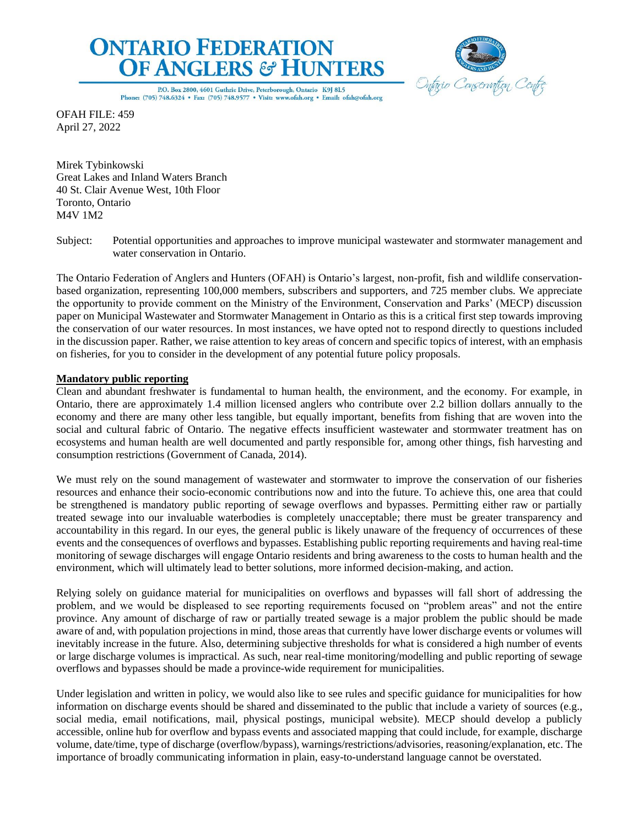



P.O. Box 2800, 4601 Guthrie Drive, Peterborough, Ontario K9J 8L5 Phone: (705) 748.6324 · Fax: (705) 748.9577 · Visit: www.ofah.org · Email: ofah@ofah.org

OFAH FILE: 459 April 27, 2022

Mirek Tybinkowski Great Lakes and Inland Waters Branch 40 St. Clair Avenue West, 10th Floor Toronto, Ontario M4V 1M2

The Ontario Federation of Anglers and Hunters (OFAH) is Ontario's largest, non-profit, fish and wildlife conservationbased organization, representing 100,000 members, subscribers and supporters, and 725 member clubs. We appreciate the opportunity to provide comment on the Ministry of the Environment, Conservation and Parks' (MECP) discussion paper on Municipal Wastewater and Stormwater Management in Ontario as this is a critical first step towards improving the conservation of our water resources. In most instances, we have opted not to respond directly to questions included in the discussion paper. Rather, we raise attention to key areas of concern and specific topics of interest, with an emphasis on fisheries, for you to consider in the development of any potential future policy proposals.

# **Mandatory public reporting**

Clean and abundant freshwater is fundamental to human health, the environment, and the economy. For example, in Ontario, there are approximately 1.4 million licensed anglers who contribute over 2.2 billion dollars annually to the economy and there are many other less tangible, but equally important, benefits from fishing that are woven into the social and cultural fabric of Ontario. The negative effects insufficient wastewater and stormwater treatment has on ecosystems and human health are well documented and partly responsible for, among other things, fish harvesting and consumption restrictions (Government of Canada, 2014).

We must rely on the sound management of wastewater and stormwater to improve the conservation of our fisheries resources and enhance their socio-economic contributions now and into the future. To achieve this, one area that could be strengthened is mandatory public reporting of sewage overflows and bypasses. Permitting either raw or partially treated sewage into our invaluable waterbodies is completely unacceptable; there must be greater transparency and accountability in this regard. In our eyes, the general public is likely unaware of the frequency of occurrences of these events and the consequences of overflows and bypasses. Establishing public reporting requirements and having real-time monitoring of sewage discharges will engage Ontario residents and bring awareness to the costs to human health and the environment, which will ultimately lead to better solutions, more informed decision-making, and action.

Relying solely on guidance material for municipalities on overflows and bypasses will fall short of addressing the problem, and we would be displeased to see reporting requirements focused on "problem areas" and not the entire province. Any amount of discharge of raw or partially treated sewage is a major problem the public should be made aware of and, with population projections in mind, those areas that currently have lower discharge events or volumes will inevitably increase in the future. Also, determining subjective thresholds for what is considered a high number of events or large discharge volumes is impractical. As such, near real-time monitoring/modelling and public reporting of sewage overflows and bypasses should be made a province-wide requirement for municipalities.

Under legislation and written in policy, we would also like to see rules and specific guidance for municipalities for how information on discharge events should be shared and disseminated to the public that include a variety of sources (e.g., social media, email notifications, mail, physical postings, municipal website). MECP should develop a publicly accessible, online hub for overflow and bypass events and associated mapping that could include, for example, discharge volume, date/time, type of discharge (overflow/bypass), warnings/restrictions/advisories, reasoning/explanation, etc. The importance of broadly communicating information in plain, easy-to-understand language cannot be overstated.

Subject: Potential opportunities and approaches to improve municipal wastewater and stormwater management and water conservation in Ontario.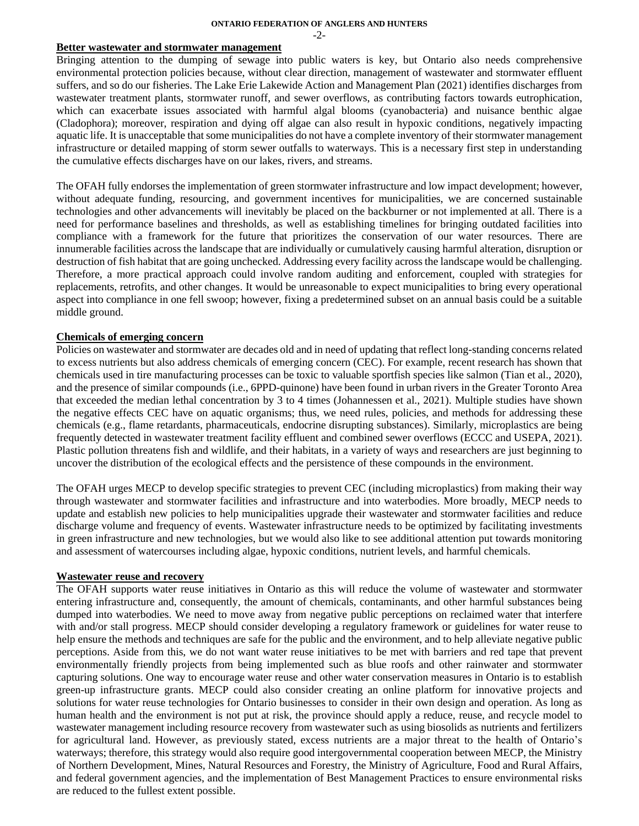**ONTARIO FEDERATION OF ANGLERS AND HUNTERS**

 $-2-$ 

### **Better wastewater and stormwater management**

Bringing attention to the dumping of sewage into public waters is key, but Ontario also needs comprehensive environmental protection policies because, without clear direction, management of wastewater and stormwater effluent suffers, and so do our fisheries. The Lake Erie Lakewide Action and Management Plan (2021) identifies discharges from wastewater treatment plants, stormwater runoff, and sewer overflows, as contributing factors towards eutrophication, which can exacerbate issues associated with harmful algal blooms (cyanobacteria) and nuisance benthic algae (Cladophora); moreover, respiration and dying off algae can also result in hypoxic conditions, negatively impacting aquatic life. It is unacceptable that some municipalities do not have a complete inventory of their stormwater management infrastructure or detailed mapping of storm sewer outfalls to waterways. This is a necessary first step in understanding the cumulative effects discharges have on our lakes, rivers, and streams.

The OFAH fully endorses the implementation of green stormwater infrastructure and low impact development; however, without adequate funding, resourcing, and government incentives for municipalities, we are concerned sustainable technologies and other advancements will inevitably be placed on the backburner or not implemented at all. There is a need for performance baselines and thresholds, as well as establishing timelines for bringing outdated facilities into compliance with a framework for the future that prioritizes the conservation of our water resources. There are innumerable facilities across the landscape that are individually or cumulatively causing harmful alteration, disruption or destruction of fish habitat that are going unchecked. Addressing every facility across the landscape would be challenging. Therefore, a more practical approach could involve random auditing and enforcement, coupled with strategies for replacements, retrofits, and other changes. It would be unreasonable to expect municipalities to bring every operational aspect into compliance in one fell swoop; however, fixing a predetermined subset on an annual basis could be a suitable middle ground.

## **Chemicals of emerging concern**

Policies on wastewater and stormwater are decades old and in need of updating that reflect long-standing concerns related to excess nutrients but also address chemicals of emerging concern (CEC). For example, recent research has shown that chemicals used in tire manufacturing processes can be toxic to valuable sportfish species like salmon (Tian et al., 2020), and the presence of similar compounds (i.e., 6PPD-quinone) have been found in urban rivers in the Greater Toronto Area that exceeded the median lethal concentration by 3 to 4 times (Johannessen et al., 2021). Multiple studies have shown the negative effects CEC have on aquatic organisms; thus, we need rules, policies, and methods for addressing these chemicals (e.g., flame retardants, pharmaceuticals, endocrine disrupting substances). Similarly, microplastics are being frequently detected in wastewater treatment facility effluent and combined sewer overflows (ECCC and USEPA, 2021). Plastic pollution threatens fish and wildlife, and their habitats, in a variety of ways and researchers are just beginning to uncover the distribution of the ecological effects and the persistence of these compounds in the environment.

The OFAH urges MECP to develop specific strategies to prevent CEC (including microplastics) from making their way through wastewater and stormwater facilities and infrastructure and into waterbodies. More broadly, MECP needs to update and establish new policies to help municipalities upgrade their wastewater and stormwater facilities and reduce discharge volume and frequency of events. Wastewater infrastructure needs to be optimized by facilitating investments in green infrastructure and new technologies, but we would also like to see additional attention put towards monitoring and assessment of watercourses including algae, hypoxic conditions, nutrient levels, and harmful chemicals.

### **Wastewater reuse and recovery**

The OFAH supports water reuse initiatives in Ontario as this will reduce the volume of wastewater and stormwater entering infrastructure and, consequently, the amount of chemicals, contaminants, and other harmful substances being dumped into waterbodies. We need to move away from negative public perceptions on reclaimed water that interfere with and/or stall progress. MECP should consider developing a regulatory framework or guidelines for water reuse to help ensure the methods and techniques are safe for the public and the environment, and to help alleviate negative public perceptions. Aside from this, we do not want water reuse initiatives to be met with barriers and red tape that prevent environmentally friendly projects from being implemented such as blue roofs and other rainwater and stormwater capturing solutions. One way to encourage water reuse and other water conservation measures in Ontario is to establish green-up infrastructure grants. MECP could also consider creating an online platform for innovative projects and solutions for water reuse technologies for Ontario businesses to consider in their own design and operation. As long as human health and the environment is not put at risk, the province should apply a reduce, reuse, and recycle model to wastewater management including resource recovery from wastewater such as using biosolids as nutrients and fertilizers for agricultural land. However, as previously stated, excess nutrients are a major threat to the health of Ontario's waterways; therefore, this strategy would also require good intergovernmental cooperation between MECP, the Ministry of Northern Development, Mines, Natural Resources and Forestry, the Ministry of Agriculture, Food and Rural Affairs, and federal government agencies, and the implementation of Best Management Practices to ensure environmental risks are reduced to the fullest extent possible.